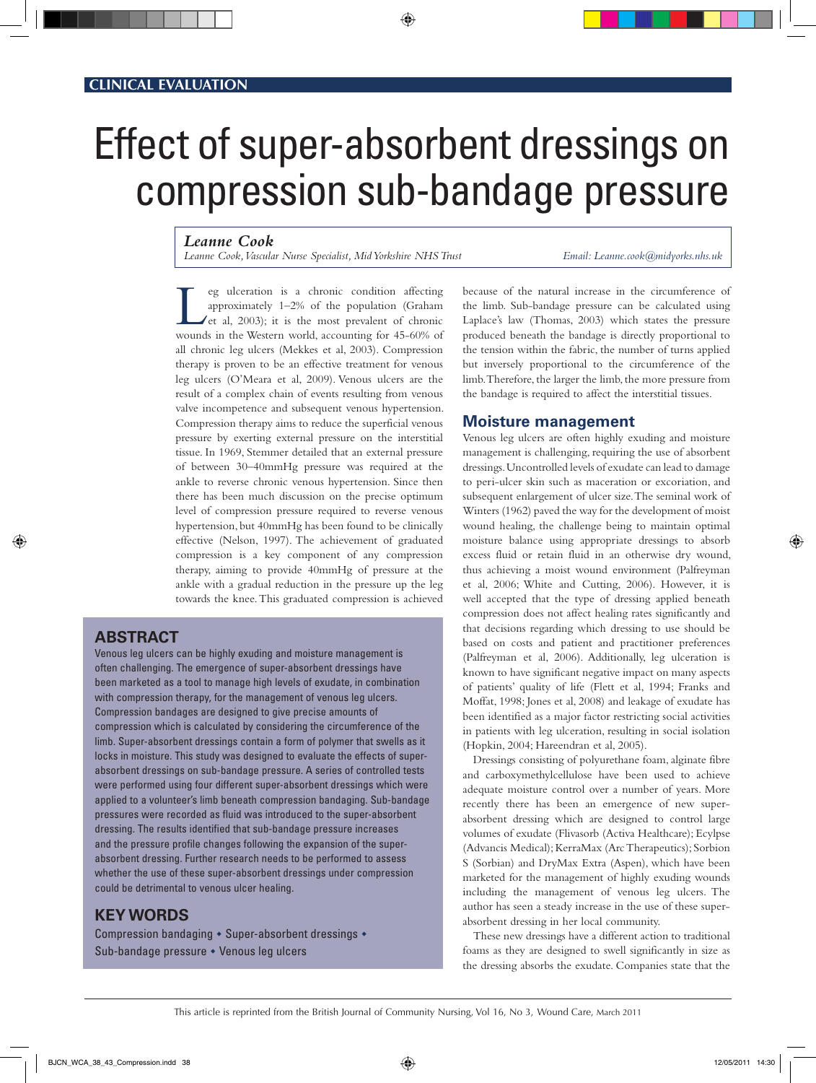# Effect of super-absorbent dressings on compression sub-bandage pressure

◈

#### *Leanne Cook*

*Leanne Cook, Vascular Nurse Specialist, Mid Yorkshire NHS Trust Email: Leanne.cook@midyorks.nhs.uk*

eg ulceration is a chronic condition affecting approximately 1–2% of the population (Graham et al,  $2003$ ); it is the most prevalent of chronic wounds in the Western world, accounting for 45-60% of all chronic leg ulcers (Mekkes et al, 2003). Compression therapy is proven to be an effective treatment for venous leg ulcers (O'Meara et al, 2009). Venous ulcers are the result of a complex chain of events resulting from venous valve incompetence and subsequent venous hypertension. Compression therapy aims to reduce the superficial venous pressure by exerting external pressure on the interstitial tissue. In 1969, Stemmer detailed that an external pressure of between 30–40mmHg pressure was required at the ankle to reverse chronic venous hypertension. Since then there has been much discussion on the precise optimum level of compression pressure required to reverse venous hypertension, but 40mmHg has been found to be clinically effective (Nelson, 1997). The achievement of graduated compression is a key component of any compression therapy, aiming to provide 40mmHg of pressure at the ankle with a gradual reduction in the pressure up the leg towards the knee. This graduated compression is achieved

# **Abstract**

◈

Venous leg ulcers can be highly exuding and moisture management is often challenging. The emergence of super-absorbent dressings have been marketed as a tool to manage high levels of exudate, in combination with compression therapy, for the management of venous leg ulcers. Compression bandages are designed to give precise amounts of compression which is calculated by considering the circumference of the limb. Super-absorbent dressings contain a form of polymer that swells as it locks in moisture. This study was designed to evaluate the effects of superabsorbent dressings on sub-bandage pressure. A series of controlled tests were performed using four different super-absorbent dressings which were applied to a volunteer's limb beneath compression bandaging. Sub-bandage pressures were recorded as fluid was introduced to the super-absorbent dressing. The results identified that sub-bandage pressure increases and the pressure profile changes following the expansion of the superabsorbent dressing. Further research needs to be performed to assess whether the use of these super-absorbent dressings under compression could be detrimental to venous ulcer healing.

# **KEY WORDS**

Compression bandaging  $\bullet$  Super-absorbent dressings  $\bullet$ Sub-bandage pressure • Venous leg ulcers

because of the natural increase in the circumference of the limb. Sub-bandage pressure can be calculated using Laplace's law (Thomas, 2003) which states the pressure produced beneath the bandage is directly proportional to the tension within the fabric, the number of turns applied but inversely proportional to the circumference of the limb. Therefore, the larger the limb, the more pressure from the bandage is required to affect the interstitial tissues.

#### **Moisture management**

Venous leg ulcers are often highly exuding and moisture management is challenging, requiring the use of absorbent dressings. Uncontrolled levels of exudate can lead to damage to peri-ulcer skin such as maceration or excoriation, and subsequent enlargement of ulcer size. The seminal work of Winters (1962) paved the way for the development of moist wound healing, the challenge being to maintain optimal moisture balance using appropriate dressings to absorb excess fluid or retain fluid in an otherwise dry wound, thus achieving a moist wound environment (Palfreyman et al, 2006; White and Cutting, 2006). However, it is well accepted that the type of dressing applied beneath compression does not affect healing rates significantly and that decisions regarding which dressing to use should be based on costs and patient and practitioner preferences (Palfreyman et al, 2006). Additionally, leg ulceration is known to have significant negative impact on many aspects of patients' quality of life (Flett et al, 1994; Franks and Moffat, 1998; Jones et al, 2008) and leakage of exudate has been identified as a major factor restricting social activities in patients with leg ulceration, resulting in social isolation (Hopkin, 2004; Hareendran et al, 2005).

Dressings consisting of polyurethane foam, alginate fibre and carboxymethylcellulose have been used to achieve adequate moisture control over a number of years. More recently there has been an emergence of new superabsorbent dressing which are designed to control large volumes of exudate (Flivasorb (Activa Healthcare); Ecylpse (Advancis Medical); KerraMax (Arc Therapeutics); Sorbion S (Sorbian) and DryMax Extra (Aspen), which have been marketed for the management of highly exuding wounds including the management of venous leg ulcers. The author has seen a steady increase in the use of these superabsorbent dressing in her local community.

These new dressings have a different action to traditional foams as they are designed to swell significantly in size as the dressing absorbs the exudate. Companies state that the

⊕

This article is reprinted from the British Journal of Community Nursing, Vol 16, No 3, Wound Care, March 2011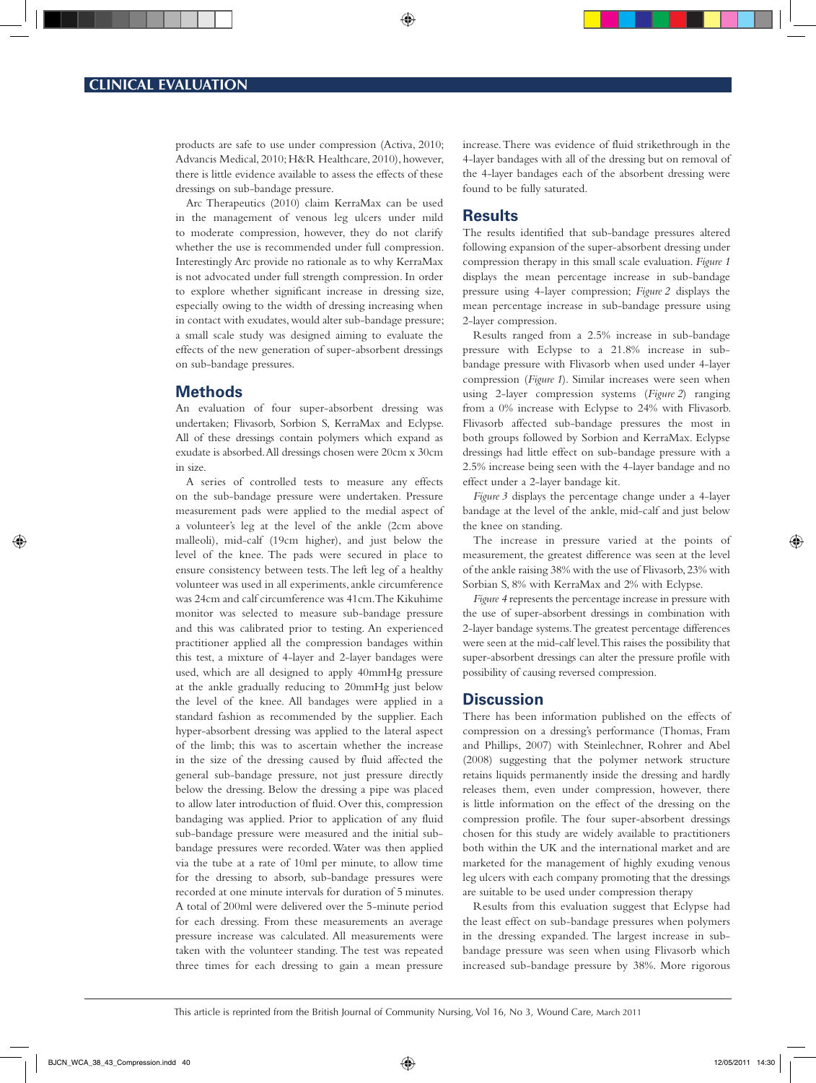products are safe to use under compression (Activa, 2010; Advancis Medical, 2010; H&R Healthcare, 2010), however, there is little evidence available to assess the effects of these dressings on sub-bandage pressure.

Arc Therapeutics (2010) claim KerraMax can be used in the management of venous leg ulcers under mild to moderate compression, however, they do not clarify whether the use is recommended under full compression. Interestingly Arc provide no rationale as to why KerraMax is not advocated under full strength compression. In order to explore whether significant increase in dressing size, especially owing to the width of dressing increasing when in contact with exudates, would alter sub-bandage pressure; a small scale study was designed aiming to evaluate the effects of the new generation of super-absorbent dressings on sub-bandage pressures.

#### **Methods**

An evaluation of four super-absorbent dressing was undertaken; Flivasorb, Sorbion S, KerraMax and Eclypse. All of these dressings contain polymers which expand as exudate is absorbed. All dressings chosen were 20cm x 30cm in size.

A series of controlled tests to measure any effects on the sub-bandage pressure were undertaken. Pressure measurement pads were applied to the medial aspect of a volunteer's leg at the level of the ankle (2cm above malleoli), mid-calf (19cm higher), and just below the level of the knee. The pads were secured in place to ensure consistency between tests. The left leg of a healthy volunteer was used in all experiments, ankle circumference was 24cm and calf circumference was 41cm. The Kikuhime monitor was selected to measure sub-bandage pressure and this was calibrated prior to testing. An experienced practitioner applied all the compression bandages within this test, a mixture of 4-layer and 2-layer bandages were used, which are all designed to apply 40mmHg pressure at the ankle gradually reducing to 20mmHg just below the level of the knee. All bandages were applied in a standard fashion as recommended by the supplier. Each hyper-absorbent dressing was applied to the lateral aspect of the limb; this was to ascertain whether the increase in the size of the dressing caused by fluid affected the general sub-bandage pressure, not just pressure directly below the dressing. Below the dressing a pipe was placed to allow later introduction of fluid. Over this, compression bandaging was applied. Prior to application of any fluid sub-bandage pressure were measured and the initial subbandage pressures were recorded. Water was then applied via the tube at a rate of 10ml per minute, to allow time for the dressing to absorb, sub-bandage pressures were recorded at one minute intervals for duration of 5 minutes. A total of 200ml were delivered over the 5-minute period for each dressing. From these measurements an average pressure increase was calculated. All measurements were taken with the volunteer standing. The test was repeated three times for each dressing to gain a mean pressure

increase. There was evidence of fluid strikethrough in the 4-layer bandages with all of the dressing but on removal of the 4-layer bandages each of the absorbent dressing were found to be fully saturated.

#### **Results**

⊕

The results identified that sub-bandage pressures altered following expansion of the super-absorbent dressing under compression therapy in this small scale evaluation. *Figure 1* displays the mean percentage increase in sub-bandage pressure using 4-layer compression; *Figure 2* displays the mean percentage increase in sub-bandage pressure using 2-layer compression.

Results ranged from a 2.5% increase in sub-bandage pressure with Eclypse to a 21.8% increase in subbandage pressure with Flivasorb when used under 4-layer compression (*Figure 1*). Similar increases were seen when using 2-layer compression systems (*Figure 2*) ranging from a 0% increase with Eclypse to 24% with Flivasorb. Flivasorb affected sub-bandage pressures the most in both groups followed by Sorbion and KerraMax. Eclypse dressings had little effect on sub-bandage pressure with a 2.5% increase being seen with the 4-layer bandage and no effect under a 2-layer bandage kit.

*Figure 3* displays the percentage change under a 4-layer bandage at the level of the ankle, mid-calf and just below the knee on standing.

The increase in pressure varied at the points of measurement, the greatest difference was seen at the level of the ankle raising 38% with the use of Flivasorb, 23% with Sorbian S, 8% with KerraMax and 2% with Eclypse.

*Figure 4* represents the percentage increase in pressure with the use of super-absorbent dressings in combination with 2-layer bandage systems. The greatest percentage differences were seen at the mid-calf level. This raises the possibility that super-absorbent dressings can alter the pressure profile with possibility of causing reversed compression.

#### **Discussion**

There has been information published on the effects of compression on a dressing's performance (Thomas, Fram and Phillips, 2007) with Steinlechner, Rohrer and Abel (2008) suggesting that the polymer network structure retains liquids permanently inside the dressing and hardly releases them, even under compression, however, there is little information on the effect of the dressing on the compression profile. The four super-absorbent dressings chosen for this study are widely available to practitioners both within the UK and the international market and are marketed for the management of highly exuding venous leg ulcers with each company promoting that the dressings are suitable to be used under compression therapy

Results from this evaluation suggest that Eclypse had the least effect on sub-bandage pressures when polymers in the dressing expanded. The largest increase in subbandage pressure was seen when using Flivasorb which increased sub-bandage pressure by 38%. More rigorous

This article is reprinted from the British Journal of Community Nursing, Vol 16, No 3, Wound Care, March 2011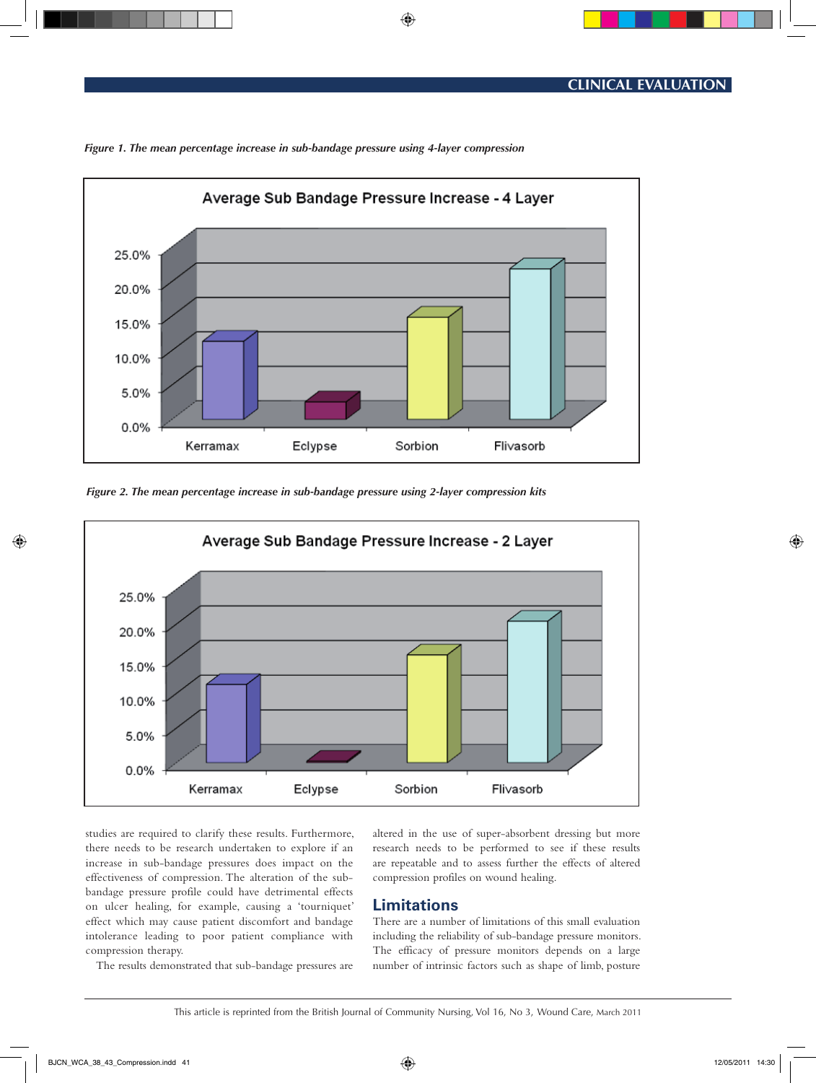

◈

*Figure 1. The mean percentage increase in sub-bandage pressure using 4-layer compression*





studies are required to clarify these results. Furthermore, there needs to be research undertaken to explore if an increase in sub-bandage pressures does impact on the effectiveness of compression. The alteration of the subbandage pressure profile could have detrimental effects on ulcer healing, for example, causing a 'tourniquet' effect which may cause patient discomfort and bandage intolerance leading to poor patient compliance with compression therapy.

The results demonstrated that sub-bandage pressures are

altered in the use of super-absorbent dressing but more research needs to be performed to see if these results are repeatable and to assess further the effects of altered compression profiles on wound healing.

# **Limitations**

There are a number of limitations of this small evaluation including the reliability of sub-bandage pressure monitors. The efficacy of pressure monitors depends on a large number of intrinsic factors such as shape of limb, posture

This article is reprinted from the British Journal of Community Nursing, Vol 16, No 3, Wound Care, March 2011

◈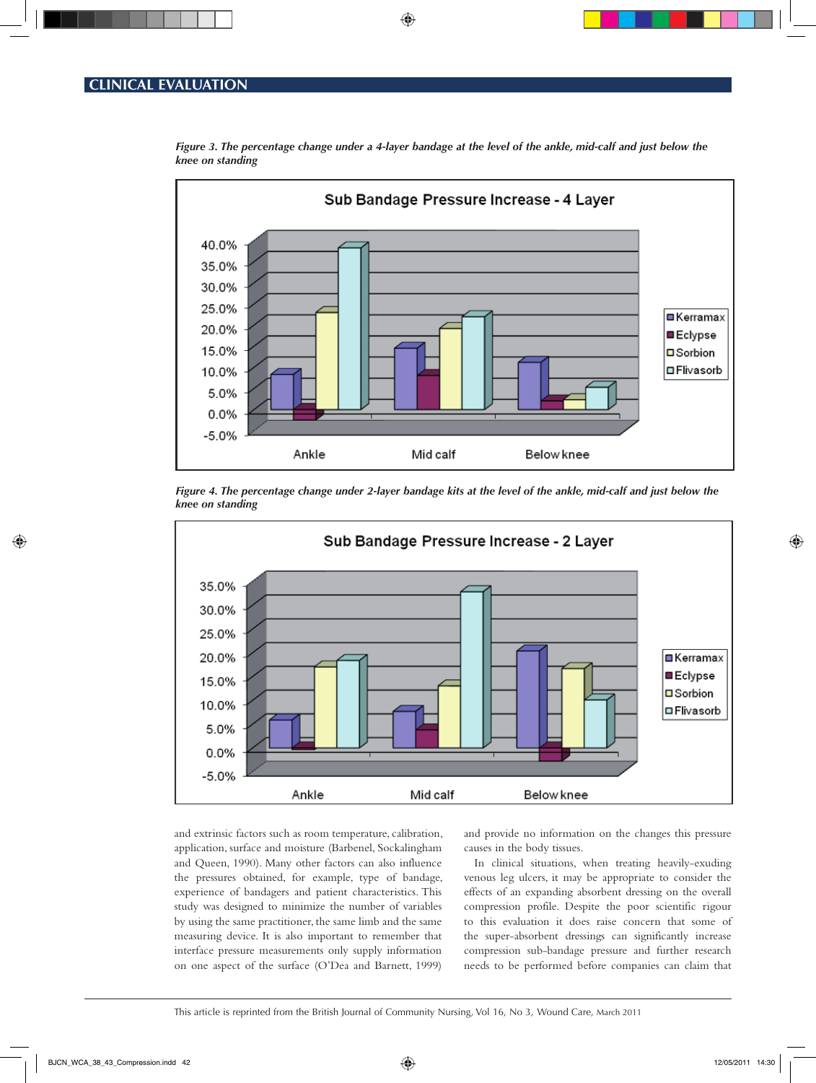

*Figure 3. The percentage change under a 4-layer bandage at the level of the ankle, mid-calf and just below the knee on standing*

◈





and extrinsic factors such as room temperature, calibration, application, surface and moisture (Barbenel, Sockalingham and Queen, 1990). Many other factors can also influence the pressures obtained, for example, type of bandage, experience of bandagers and patient characteristics. This study was designed to minimize the number of variables by using the same practitioner, the same limb and the same measuring device. It is also important to remember that interface pressure measurements only supply information on one aspect of the surface (O'Dea and Barnett, 1999)

and provide no information on the changes this pressure causes in the body tissues.

In clinical situations, when treating heavily-exuding venous leg ulcers, it may be appropriate to consider the effects of an expanding absorbent dressing on the overall compression profile. Despite the poor scientific rigour to this evaluation it does raise concern that some of the super-absorbent dressings can significantly increase compression sub-bandage pressure and further research needs to be performed before companies can claim that

This article is reprinted from the British Journal of Community Nursing, Vol 16, No 3, Wound Care, March 2011

◈